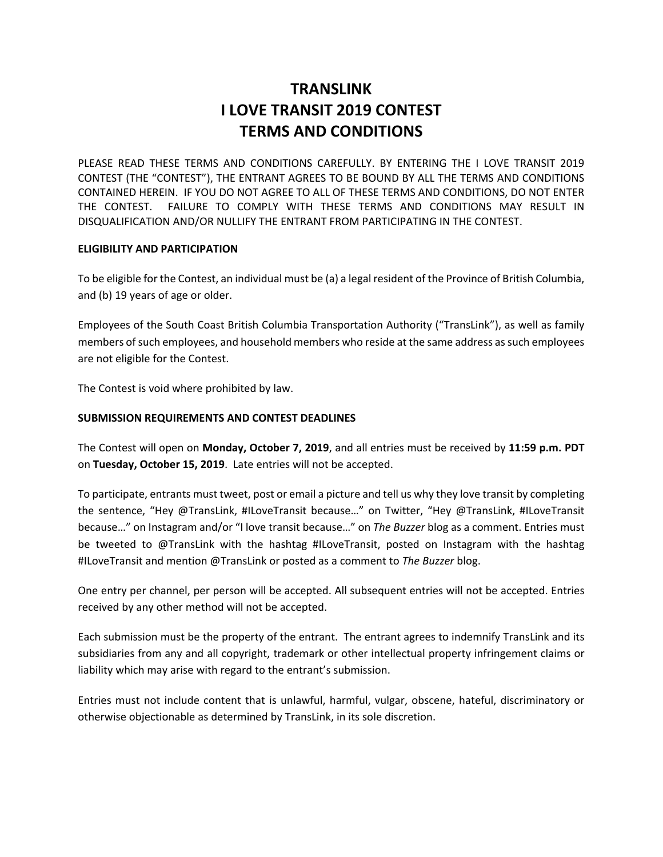# **TRANSLINK I LOVE TRANSIT 2019 CONTEST TERMS AND CONDITIONS**

PLEASE READ THESE TERMS AND CONDITIONS CAREFULLY. BY ENTERING THE I LOVE TRANSIT 2019 CONTEST (THE "CONTEST"), THE ENTRANT AGREES TO BE BOUND BY ALL THE TERMS AND CONDITIONS CONTAINED HEREIN. IF YOU DO NOT AGREE TO ALL OF THESE TERMS AND CONDITIONS, DO NOT ENTER THE CONTEST. FAILURE TO COMPLY WITH THESE TERMS AND CONDITIONS MAY RESULT IN DISQUALIFICATION AND/OR NULLIFY THE ENTRANT FROM PARTICIPATING IN THE CONTEST.

### **ELIGIBILITY AND PARTICIPATION**

To be eligible for the Contest, an individual must be (a) a legal resident of the Province of British Columbia, and (b) 19 years of age or older.

Employees of the South Coast British Columbia Transportation Authority ("TransLink"), as well as family members of such employees, and household members who reside at the same address as such employees are not eligible for the Contest.

The Contest is void where prohibited by law.

# **SUBMISSION REQUIREMENTS AND CONTEST DEADLINES**

The Contest will open on **Monday, October 7, 2019**, and all entries must be received by **11:59 p.m. PDT** on **Tuesday, October 15, 2019**. Late entries will not be accepted.

To participate, entrants must tweet, post or email a picture and tell us why they love transit by completing the sentence, "Hey @TransLink, #ILoveTransit because…" on Twitter, "Hey @TransLink, #ILoveTransit because…" on Instagram and/or "I love transit because…" on *The Buzzer* blog as a comment. Entries must be tweeted to @TransLink with the hashtag #ILoveTransit, posted on Instagram with the hashtag #ILoveTransit and mention @TransLink or posted as a comment to *The Buzzer* blog.

One entry per channel, per person will be accepted. All subsequent entries will not be accepted. Entries received by any other method will not be accepted.

Each submission must be the property of the entrant. The entrant agrees to indemnify TransLink and its subsidiaries from any and all copyright, trademark or other intellectual property infringement claims or liability which may arise with regard to the entrant's submission.

Entries must not include content that is unlawful, harmful, vulgar, obscene, hateful, discriminatory or otherwise objectionable as determined by TransLink, in its sole discretion.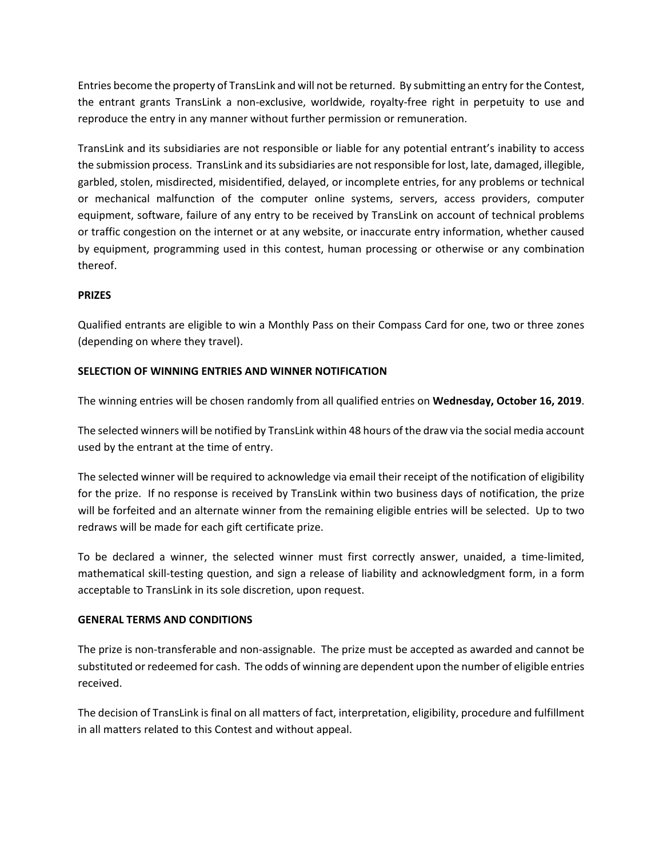Entries become the property of TransLink and will not be returned. By submitting an entry for the Contest, the entrant grants TransLink a non-exclusive, worldwide, royalty-free right in perpetuity to use and reproduce the entry in any manner without further permission or remuneration.

TransLink and its subsidiaries are not responsible or liable for any potential entrant's inability to access the submission process. TransLink and its subsidiaries are not responsible for lost, late, damaged, illegible, garbled, stolen, misdirected, misidentified, delayed, or incomplete entries, for any problems or technical or mechanical malfunction of the computer online systems, servers, access providers, computer equipment, software, failure of any entry to be received by TransLink on account of technical problems or traffic congestion on the internet or at any website, or inaccurate entry information, whether caused by equipment, programming used in this contest, human processing or otherwise or any combination thereof.

# **PRIZES**

Qualified entrants are eligible to win a Monthly Pass on their Compass Card for one, two or three zones (depending on where they travel).

# **SELECTION OF WINNING ENTRIES AND WINNER NOTIFICATION**

The winning entries will be chosen randomly from all qualified entries on **Wednesday, October 16, 2019**.

The selected winners will be notified by TransLink within 48 hours of the draw via the social media account used by the entrant at the time of entry.

The selected winner will be required to acknowledge via email their receipt of the notification of eligibility for the prize. If no response is received by TransLink within two business days of notification, the prize will be forfeited and an alternate winner from the remaining eligible entries will be selected. Up to two redraws will be made for each gift certificate prize.

To be declared a winner, the selected winner must first correctly answer, unaided, a time-limited, mathematical skill-testing question, and sign a release of liability and acknowledgment form, in a form acceptable to TransLink in its sole discretion, upon request.

### **GENERAL TERMS AND CONDITIONS**

The prize is non-transferable and non-assignable. The prize must be accepted as awarded and cannot be substituted or redeemed for cash. The odds of winning are dependent upon the number of eligible entries received.

The decision of TransLink is final on all matters of fact, interpretation, eligibility, procedure and fulfillment in all matters related to this Contest and without appeal.